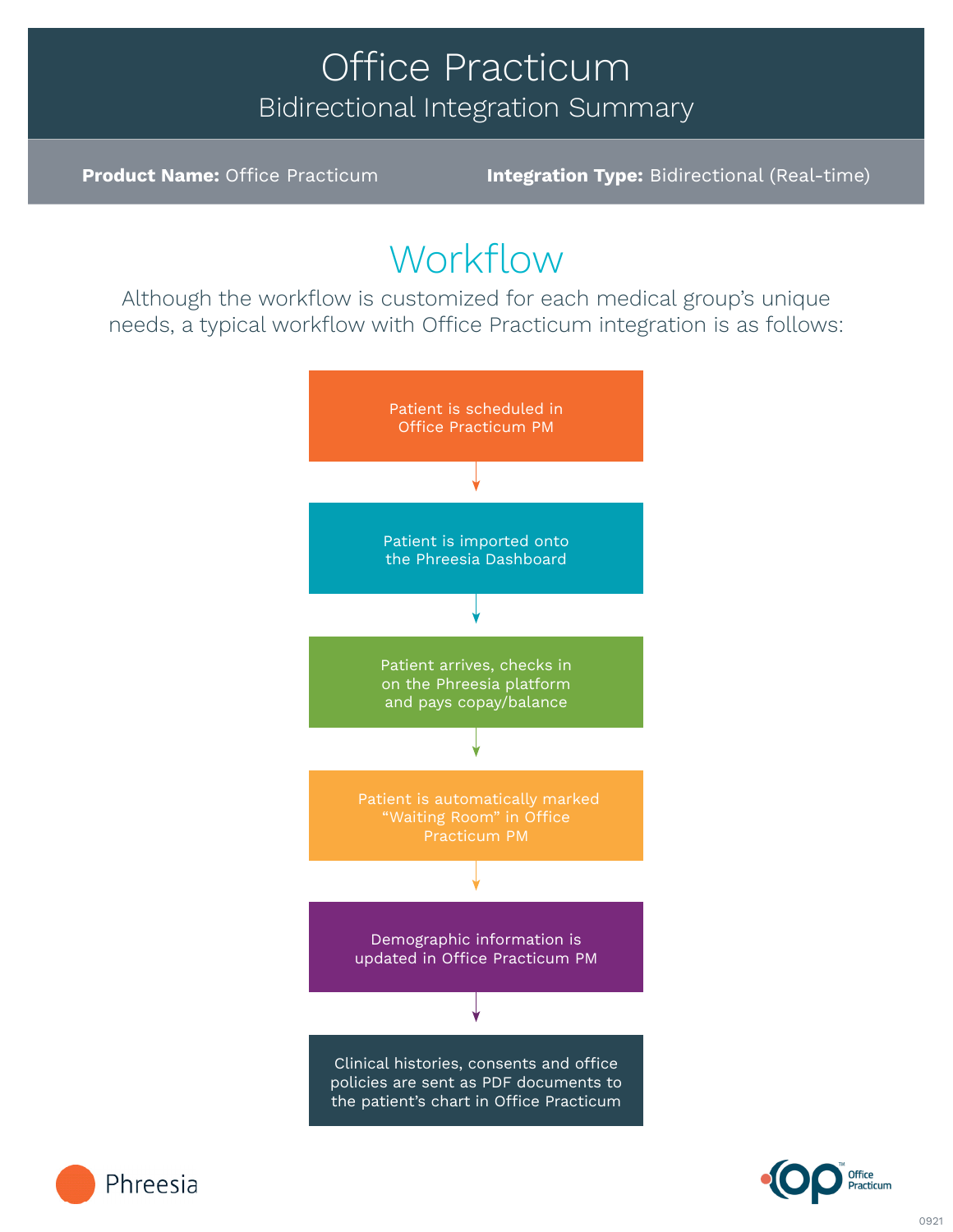## Office Practicum Bidirectional Integration Summary

**Product Name:** Office Practicum **Integration Type:** Bidirectional (Real-time)

# Workflow

Although the workflow is customized for each medical group's unique needs, a typical workflow with Office Practicum integration is as follows: